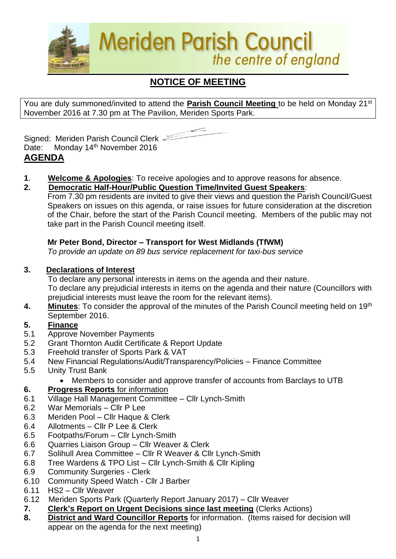

# **NOTICE OF MEETING**

You are duly summoned/invited to attend the **Parish Council Meeting** to be held on Monday 21st November 2016 at 7.30 pm at The Pavilion, Meriden Sports Park.



Signed: Meriden Parish Council Clerk Date: Monday 14<sup>th</sup> November 2016 **AGENDA**

**1**. **Welcome & Apologies**: To receive apologies and to approve reasons for absence.

### **2. Democratic Half-Hour/Public Question Time/Invited Guest Speakers**:

From 7.30 pm residents are invited to give their views and question the Parish Council/Guest Speakers on issues on this agenda, or raise issues for future consideration at the discretion of the Chair, before the start of the Parish Council meeting. Members of the public may not take part in the Parish Council meeting itself.

## **Mr Peter Bond, Director – Transport for West Midlands (TfWM)**

*To provide an update on 89 bus service replacement for taxi-bus service*

### **3. Declarations of Interest**

To declare any personal interests in items on the agenda and their nature. To declare any prejudicial interests in items on the agenda and their nature (Councillors with prejudicial interests must leave the room for the relevant items).

**4. Minutes**: To consider the approval of the minutes of the Parish Council meeting held on 19th September 2016.

# **5. Finance**

- 5.1 Approve November Payments
- 5.2 Grant Thornton Audit Certificate & Report Update
- 5.3 Freehold transfer of Sports Park & VAT
- 5.4 New Financial Regulations/Audit/Transparency/Policies Finance Committee
- 5.5 Unity Trust Bank
	- Members to consider and approve transfer of accounts from Barclays to UTB

### **6. Progress Reports** for information

- 6.1 Village Hall Management Committee Cllr Lynch-Smith
- 6.2 War Memorials Cllr P Lee
- 6.3 Meriden Pool Cllr Haque & Clerk
- 6.4 Allotments Cllr P Lee & Clerk
- 6.5 Footpaths/Forum Cllr Lynch-Smith
- 6.6 Quarries Liaison Group Cllr Weaver & Clerk
- 6.7 Solihull Area Committee Cllr R Weaver & Cllr Lynch-Smith
- 6.8 Tree Wardens & TPO List Cllr Lynch-Smith & Cllr Kipling
- 6.9 Community Surgeries Clerk
- 6.10 Community Speed Watch Cllr J Barber
- 6.11 HS2 Cllr Weaver
- 6.12Meriden Sports Park (Quarterly Report January 2017) Cllr Weaver
- **7. Clerk's Report on Urgent Decisions since last meeting** (Clerks Actions)
- **8. District and Ward Councillor Reports** for information. (Items raised for decision will appear on the agenda for the next meeting)